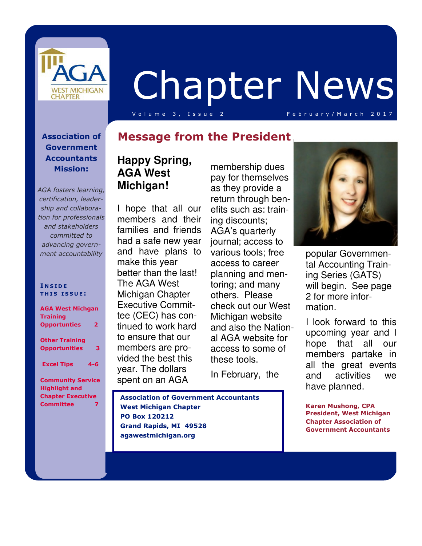

# Chapter News

V o l u m e 3, Issue 2 February / March 2017

#### **Association of Government Accountants Mission:**

*AGA fosters learning, certification, leadership and collaboration for professionals and stakeholders committed to advancing government accountability*

#### **I N S I D E T H I S I S S U E :**

| <b>AGA West Michgan</b><br><b>Training</b>                      |         |
|-----------------------------------------------------------------|---------|
| <b>Opportunties</b>                                             | 2       |
| <b>Other Training</b><br><b>Opportunities</b>                   | з       |
| <b>Excel Tips</b>                                               | $4 - 6$ |
| <b>Community Service</b><br>المستحدث والمناسبة المناسبة المناوب |         |

**Highlight and Chapter Executive Committee 7** 

#### **Message from the President**

### **Happy Spring, AGA West Michigan!**

I hope that all our members and their families and friends had a safe new year and have plans to make this year better than the last! The AGA West Michigan Chapter Executive Committee (CEC) has continued to work hard to ensure that our members are provided the best this year. The dollars spent on an AGA

membership dues pay for themselves as they provide a return through benefits such as: training discounts; AGA's quarterly journal; access to various tools; free access to career planning and mentoring; and many others. Please check out our West Michigan website and also the National AGA website for access to some of these tools.

In February, the

 **Association of Government Accountants** 



popular Governmental Accounting Training Series (GATS) will begin. See page 2 for more information.

I look forward to this upcoming year and I hope that all our members partake in all the great events and activities we have planned.

**Karen Mushong, CPA President, West Michigan Chapter Association of Government Accountants** 

 **West Michigan Chapter PO Box 120212 Grand Rapids, MI 49528 agawestmichigan.org**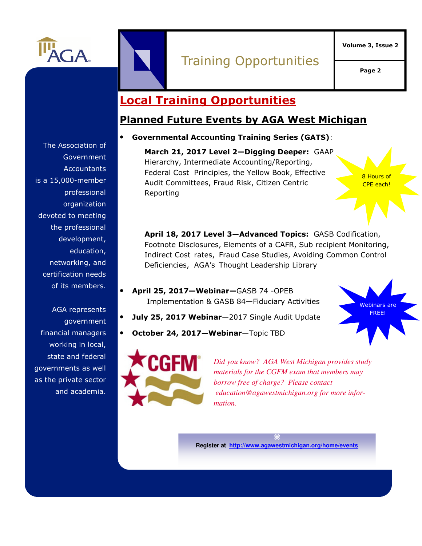

## Training Opportunities

**Page 2** 

**Volume 3, Issue 2** 

## **Local Training Opportunities**

#### **Planned Future Events by AGA West Michigan**

#### • **Governmental Accounting Training Series (GATS)**:

**March 21, 2017 Level 2—Digging Deeper:** GAAP Hierarchy, Intermediate Accounting/Reporting, Federal Cost Principles, the Yellow Book, Effective Audit Committees, Fraud Risk, Citizen Centric Reporting

8 Hours of CPE each!

**April 18, 2017 Level 3—Advanced Topics:** GASB Codification, Footnote Disclosures, Elements of a CAFR, Sub recipient Monitoring, Indirect Cost rates, Fraud Case Studies, Avoiding Common Control Deficiencies, AGA's Thought Leadership Library

- **April 25, 2017—Webinar—**GASB 74 -OPEB Implementation & GASB 84—Fiduciary Activities
- **July 25, 2017 Webinar**—2017 Single Audit Update
- **October 24, 2017—Webinar**—Topic TBD





*Did you know? AGA West Michigan provides study materials for the CGFM exam that members may borrow free of charge? Please contact education@agawestmichigan.org for more information.* 

**Register at http://www.agawestmichigan.org/home/events**

The Association of **Government Accountants** is a 15,000-member professional organization devoted to meeting the professional development, education, networking, and certification needs of its members.

AGA represents government financial managers working in local, state and federal governments as well as the private sector and academia.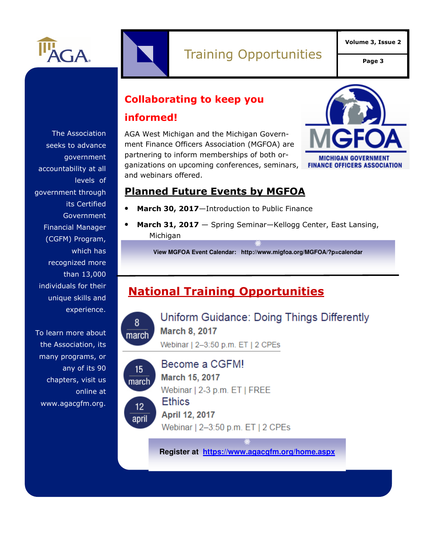

**Page 3** 

## **Collaborating to keep you**

#### **informed!**

AGA West Michigan and the Michigan Government Finance Officers Association (MGFOA) are partnering to inform memberships of both organizations on upcoming conferences, seminars, and webinars offered.



#### **Planned Future Events by MGFOA**

- March 30, 2017-Introduction to Public Finance
	- **March 31, 2017**  Spring Seminar—Kellogg Center, East Lansing, Michigan

**View MGFOA Event Calendar: http://www.migfoa.org/MGFOA/?p=calendar** 

## **National Training Opportunities**



Uniform Guidance: Doing Things Differently **March 8, 2017** 

Webinar | 2-3:50 p.m. ET | 2 CPEs



## Become a CGFM!

March 15, 2017 Webinar | 2-3 p.m. ET | FREE

April 12, 2017

Webinar | 2-3:50 p.m. ET | 2 CPEs

**Register at https://www.agacgfm.org/home.aspx**

The Association seeks to advance government accountability at all levels of government through its Certified Government Financial Manager (CGFM) Program, which has recognized more than 13,000 individuals for their unique skills and experience.

To learn more about the Association, its many programs, or any of its 90 chapters, visit us online at www.agacgfm.org.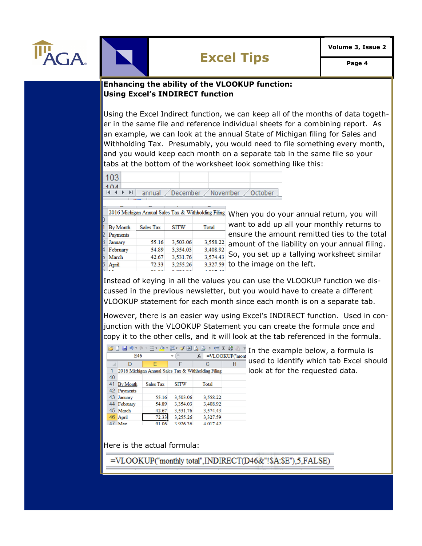

#### **Enhancing the ability of the VLOOKUP function: Using Excel's INDIRECT function**

Using the Excel Indirect function, we can keep all of the months of data together in the same file and reference individual sheets for a combining report. As an example, we can look at the annual State of Michigan filing for Sales and Withholding Tax. Presumably, you would need to file something every month, and you would keep each month on a separate tab in the same file so your tabs at the bottom of the worksheet look something like this:

| 103            |  |                                                        |
|----------------|--|--------------------------------------------------------|
| 1 <sub>0</sub> |  |                                                        |
|                |  | $H \leftrightarrow H$ annual December November October |
|                |  |                                                        |

|    | 2016 Michigan Annual Sales Tax & Withholding Filing |           |             |          |  |  |  |
|----|-----------------------------------------------------|-----------|-------------|----------|--|--|--|
| J  |                                                     |           |             |          |  |  |  |
|    | By Month                                            | Sales Tax | <b>SITW</b> | Total    |  |  |  |
|    | 2 Payments                                          |           |             |          |  |  |  |
| 3  | January                                             | 55.16     | 3.503.06    | 3.558.22 |  |  |  |
|    | 4 February                                          | 54.89     | 3,354.03    | 3.408.92 |  |  |  |
|    | 5 March                                             | 42.67     | 3.531.76    | 3.574.43 |  |  |  |
| 3. | April                                               | 72.33     | 3.255.26    | 3.327.59 |  |  |  |
|    |                                                     |           |             |          |  |  |  |

When you do your annual return, you will want to add up all your monthly returns to ensure the amount remitted ties to the total amount of the liability on your annual filing. So, you set up a tallying worksheet similar to the image on the left.

Instead of keying in all the values you can use the VLOOKUP function we discussed in the previous newsletter, but you would have to create a different VLOOKUP statement for each month since each month is on a separate tab.

However, there is an easier way using Excel's INDIRECT function. Used in conjunction with the VLOOKUP Statement you can create the formula once and copy it to the other cells, and it will look at the tab referenced in the formula.

| <mark>窗口ほ</mark> っ ॰ ॰ ⊞ <u>७ · ᄈ ♂ 国は障 › 남 ¤ ⊜  ▼</u> In the example below, a formula is |                 |           |             |                                                     |                   |                                         |
|-------------------------------------------------------------------------------------------|-----------------|-----------|-------------|-----------------------------------------------------|-------------------|-----------------------------------------|
|                                                                                           | E46             |           | ۰           | $f_x$                                               | $=$ VLOOKUP("mont |                                         |
|                                                                                           | D               | Е         | F           | G                                                   | Н                 | used to identify which tab Excel should |
|                                                                                           |                 |           |             | 2016 Michigan Annual Sales Tax & Withholding Filing |                   | look at for the requested data.         |
| 40                                                                                        |                 |           |             |                                                     |                   |                                         |
| 41                                                                                        | <b>By Month</b> | Sales Tax | <b>SITW</b> | Total                                               |                   |                                         |
| 42                                                                                        | Payments        |           |             |                                                     |                   |                                         |
| 43                                                                                        | January         | 55.16     | 3,503.06    | 3,558.22                                            |                   |                                         |
|                                                                                           | 44 February     | 54.89     | 3.354.03    | 3,408.92                                            |                   |                                         |
|                                                                                           | 45 March        | 42.67     | 3.531.76    | 3,574.43                                            |                   |                                         |
|                                                                                           | 46 April        | 72.33     | 3,255.26    | 3,327.59                                            |                   |                                         |
|                                                                                           | 47 May          | 91.06     | 3 926 36    | 4 017 42                                            |                   |                                         |
|                                                                                           |                 |           |             |                                                     |                   |                                         |

Here is the actual formula:

=VLOOKUP("monthly total",INDIRECT(D46&"!\$A:\$E"),5,FALSE)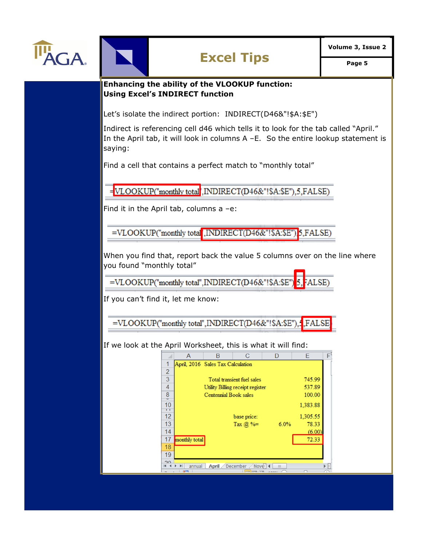



**Volume 3, Issue 2**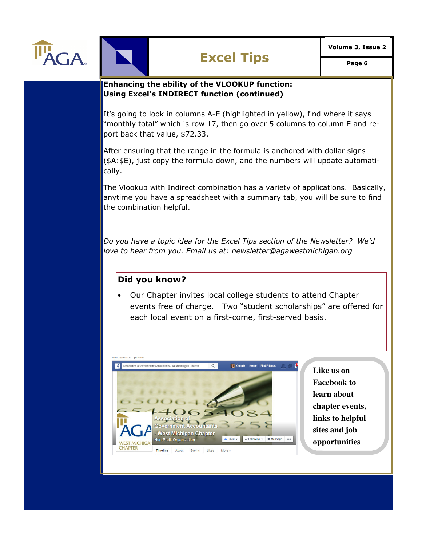



#### **Enhancing the ability of the VLOOKUP function: Using Excel's INDIRECT function (continued)**

It's going to look in columns A-E (highlighted in yellow), find where it says "monthly total" which is row 17, then go over 5 columns to column E and report back that value, \$72.33.

After ensuring that the range in the formula is anchored with dollar signs (\$A:\$E), just copy the formula down, and the numbers will update automatically.

The Vlookup with Indirect combination has a variety of applications. Basically, anytime you have a spreadsheet with a summary tab, you will be sure to find the combination helpful.

*Do you have a topic idea for the Excel Tips section of the Newsletter? We'd love to hear from you. Email us at: newsletter@agawestmichigan.org* 

#### **Did you know?**

• Our Chapter invites local college students to attend Chapter events free of charge. Two "student scholarships" are offered for each local event on a first-come, first-served basis.



**Like us on Facebook to learn about chapter events, links to helpful sites and job opportunities**